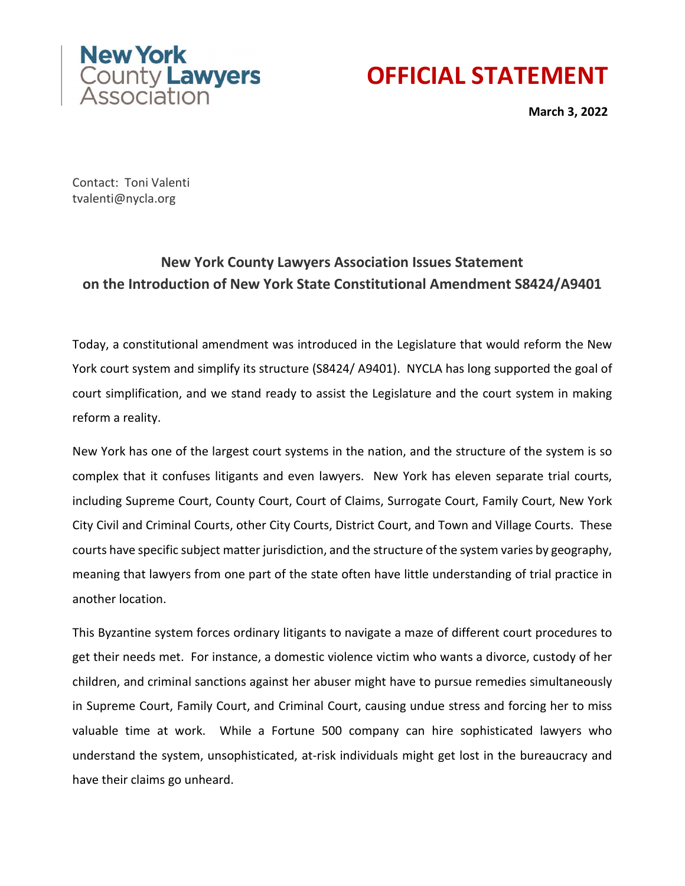

## **OFFICIAL STATEMENT**

**March 3, 2022**

Contact: Toni Valenti tvalenti@nycla.org

## **New York County Lawyers Association Issues Statement on the Introduction of New York State Constitutional Amendment S8424/A9401**

Today, a constitutional amendment was introduced in the Legislature that would reform the New York court system and simplify its structure (S8424/ A9401). NYCLA has long supported the goal of court simplification, and we stand ready to assist the Legislature and the court system in making reform a reality.

New York has one of the largest court systems in the nation, and the structure of the system is so complex that it confuses litigants and even lawyers. New York has eleven separate trial courts, including Supreme Court, County Court, Court of Claims, Surrogate Court, Family Court, New York City Civil and Criminal Courts, other City Courts, District Court, and Town and Village Courts. These courts have specific subject matter jurisdiction, and the structure of the system varies by geography, meaning that lawyers from one part of the state often have little understanding of trial practice in another location.

This Byzantine system forces ordinary litigants to navigate a maze of different court procedures to get their needs met. For instance, a domestic violence victim who wants a divorce, custody of her children, and criminal sanctions against her abuser might have to pursue remedies simultaneously in Supreme Court, Family Court, and Criminal Court, causing undue stress and forcing her to miss valuable time at work. While a Fortune 500 company can hire sophisticated lawyers who understand the system, unsophisticated, at-risk individuals might get lost in the bureaucracy and have their claims go unheard.